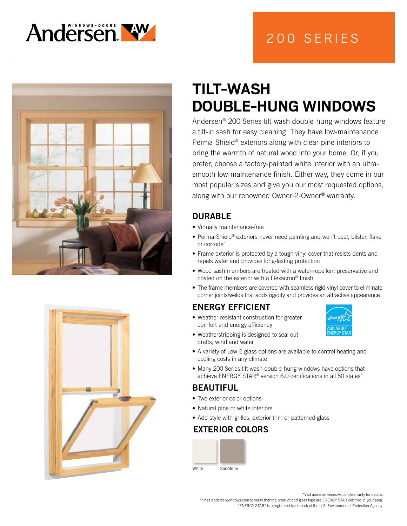

# 200 SERIES





# **TILT-WASH DOUBLE-HUNG WINDOWS**

Andersen® 200 Series tilt-wash double-hung windows feature a tilt-in sash for easy cleaning. They have low-maintenance Perma-Shield® exteriors along with clear pine interiors to bring the warmth of natural wood into your home. Or, if you prefer, choose a factory-painted white interior with an ultrasmooth low-maintenance finish. Either way, they come in our most popular sizes and give you our most requested options, along with our renowned Owner-2-Owner® warranty.

# DURABLE

- Virtually maintenance-free
- Perma-Shield® exteriors never need painting and won't peel, blister, flake or corrode\*
- Frame exterior is protected by a tough vinyl cover that resists dents and repels water and provides long-lasting protection
- Wood sash members are treated with a water-repellent preservative and coated on the exterior with a Flexacron® finish
- The frame members are covered with seamless rigid vinyl cover to eliminate corner joints/welds that adds rigidity and provides an attractive appearance

# ENERGY EFFICIENT

• Weather-resistant construction for greater comfort and energy efficiency



- Weatherstripping is designed to seal out drafts, wind and water
- A variety of Low-E glass options are available to control heating and cooling costs in any climate
- Many 200 Series tilt-wash double-hung windows have options that achieve ENERGY STAR<sup>®</sup> version 6.0 certifications in all 50 states\*\*

# BEAUTIFUL

- Two exterior color options
- Natural pine or white interiors
- Add style with grilles, exterior trim or patterned glass

## EXTERIOR COLORS



\*Visit andersenwindows.com/warranty for details.

\*\*Visit andersenwindows.com to verify that the product and glass type are ENERGY STAR certified in your area. "ENERGY STAR" is a registered trademark of the U.S. Environmental Protection Agency.